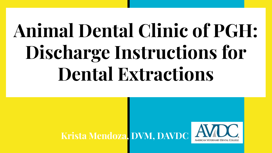# **Animal Dental Clinic of PGH: Discharge Instructions for Dental Extractions**

### **Krista Mendoza, DVM, DAVDC**

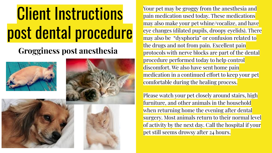#### **Grogginess post anesthesia**



Your pet may be groggy from the anesthesia and pain medication used today. These medications may also make your pet whine/vocalize, and have eye changes (dilated pupils, droopy eyelids). There may also be "dysphoria" or confusion related to the drugs and not from pain. Excellent pain protocols with nerve blocks are part of the dental procedure performed today to help control discomfort. We also have sent home pain medication in a continued effort to keep your pet comfortable during the healing process.

Please watch your pet closely around stairs, high furniture, and other animals in the household when returning home the evening after dental surgery. Most animals return to their normal level of activity by the next day. Call the hospital if your pet still seems drowsy after 24 hours.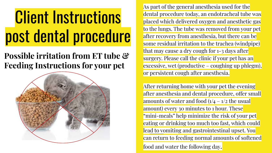#### **Possible irritation from ET tube & Feeding Instructions for your pet**



As part of the general anesthesia used for the dental procedure today, an endotracheal tube was placed which delivered oxygen and anesthetic gas to the lungs. The tube was removed from your pet after recovery from anesthesia, but there can be some residual irritation to the trachea (windpipe) that may cause a dry cough for 1-3 days after surgery. Please call the clinic if your pet has an excessive, wet (productive – coughing up phlegm), or persistent cough after anesthesia.

After returning home with your pet the evening after anesthesia and dental procedure, offer small amounts of water and food  $(1/4 - 1/2)$  the usual amount) every 30 minutes to 1 hour. These "mini-meals" help minimize the risk of your pet eating or drinking too much too fast, which could lead to vomiting and gastrointestinal upset. You can return to feeding normal amounts of softened food and water the following day.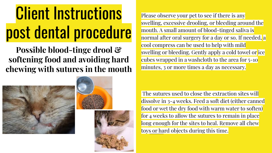**Possible blood-tinge drool & softening food and avoiding hard chewing with sutures in the mouth**







Please observe your pet to see if there is any swelling, excessive drooling, or bleeding around the mouth. A small amount of blood-tinged saliva is normal after oral surgery for a day or so. If needed, a cool compress can be used to help with mild swelling or bleeding. Gently apply a cold towel or ice cubes wrapped in a washcloth to the area for 5-10 minutes, 3 or more times a day as necessary.

 The sutures used to close the extraction sites will dissolve in 3-4 weeks. Feed a soft diet (either canned food or wet the dry food with warm water to soften) for 4 weeks to allow the sutures to remain in place long enough for the sites to heal. Remove all chew toys or hard objects during this time.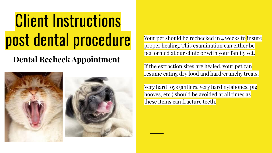#### **Dental Recheck Appointment**



Your pet should be rechecked in 4 weeks to insure proper healing. This examination can either be performed at our clinic or with your family vet.

If the extraction sites are healed, your pet can resume eating dry food and hard/crunchy treats.

Very hard toys (antlers, very hard nylabones, pig hooves, etc.) should be avoided at all times as these items can fracture teeth.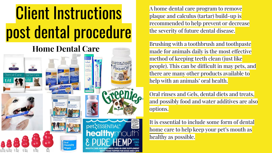#### **Home Dental Care**





A home dental care program to remove plaque and calculus (tartar) build-up is recommended to help prevent or decrease the severity of future dental disease.

Brushing with a toothbrush and toothpaste made for animals daily is the most effective method of keeping teeth clean (just like people). This can be difficult in may pets, and there are many other products available to help with an animals' oral health.

Oral rinses and Gels, dental diets and treats, and possibly food and water additives are also options.

It is essential to include some form of dental home care to help keep your pet's mouth as healthy as possible.